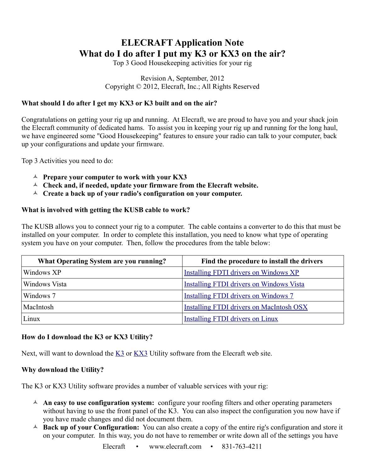# **ELECRAFT Application Note What do I do after I put my K3 or KX3 on the air?**

Top 3 Good Housekeeping activities for your rig

#### Revision A, September, 2012 Copyright © 2012, Elecraft, Inc.; All Rights Reserved

## **What should I do after I get my KX3 or K3 built and on the air?**

Congratulations on getting your rig up and running. At Elecraft, we are proud to have you and your shack join the Elecraft community of dedicated hams. To assist you in keeping your rig up and running for the long haul, we have engineered some "Good Housekeeping" features to ensure your radio can talk to your computer, back up your configurations and update your firmware.

Top 3 Activities you need to do:

- **Prepare your computer to work with your KX3**
- **Check and, if needed, update your firmware from the Elecraft website.**
- **Create a back up of your radio's configuration on your computer.**

#### **What is involved with getting the KUSB cable to work?**

The KUSB allows you to connect your rig to a computer. The cable contains a converter to do this that must be installed on your computer. In order to complete this installation, you need to know what type of operating system you have on your computer. Then, follow the procedures from the table below:

| What Operating System are you running? | Find the procedure to install the drivers       |
|----------------------------------------|-------------------------------------------------|
| Windows XP                             | <b>Installing FDTI drivers on Windows XP</b>    |
| Windows Vista                          | <b>Installing FTDI drivers on Windows Vista</b> |
| Windows 7                              | <b>Installing FTDI drivers on Windows 7</b>     |
| MacIntosh                              | <b>Installing FTDI drivers on MacIntosh OSX</b> |
| Linux                                  | Installing FTDI drivers on Linux                |

## **How do I download the K3 or KX3 Utility?**

Next, will want to download the  $\underline{K3}$  or  $\underline{KX3}$  Utility software from the Elecraft web site.

#### **Why download the Utility?**

The K3 or KX3 Utility software provides a number of valuable services with your rig:

- **An easy to use configuration system:** configure your roofing filters and other operating parameters without having to use the front panel of the K3. You can also inspect the configuration you now have if you have made changes and did not document them.
- **Back up of your Configuration:** You can also create a copy of the entire rig's configuration and store it on your computer. In this way, you do not have to remember or write down all of the settings you have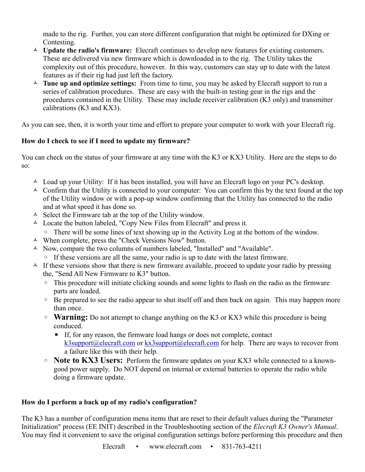made to the rig. Further, you can store different configuration that might be optimized for DXing or Contesting.

- <sup> $\triangle$ </sup> Update the radio's firmware: Elecraft continues to develop new features for existing customers. These are delivered via new firmware which is downloaded in to the rig. The Utility takes the complexity out of this procedure, however. In this way, customers can stay up to date with the latest features as if their rig had just left the factory.
- **Tune up and optimize settings:** From time to time, you may be asked by Elecraft support to run a series of calibration procedures. These are easy with the built-in testing gear in the rigs and the procedures contained in the Utility. These may include receiver calibration (K3 only) and transmitter calibrations (K3 and KX3).

As you can see, then, it is worth your time and effort to prepare your computer to work with your Elecraft rig.

# **How do I check to see if I need to update my firmware?**

You can check on the status of your firmware at any time with the K3 or KX3 Utility. Here are the steps to do so:

- $\triangle$  Load up your Utility: If it has been installed, you will have an Elecraft logo on your PC's desktop.
- $\triangle$  Confirm that the Utility is connected to your computer: You can confirm this by the text found at the top of the Utility window or with a pop-up window confirming that the Utility has connected to the radio and at what speed it has done so.
- $\triangle$  Select the Firmware tab at the top of the Utility window.
- Locate the button labeled, "Copy New Files from Elecraft" and press it.
	- There will be some lines of text showing up in the Activity Log at the bottom of the window.
- When complete, press the "Check Versions Now" button.
- A Now, compare the two columns of numbers labeled, "Installed" and "Available".
	- If these versions are all the same, your radio is up to date with the latest firmware.
- $\triangle$  If these versions show that there is new firmware available, proceed to update your radio by pressing the, "Send All New Firmware to K3" button.
	- This procedure will initiate clicking sounds and some lights to flash on the radio as the firmware parts are loaded.
	- Be prepared to see the radio appear to shut itself off and then back on again. This may happen more than once.
	- **Warning:** Do not attempt to change anything on the K3 or KX3 while this procedure is being conduced.
		- If, for any reason, the firmware load hangs or does not complete, contact [k3support@elecraft.com](mailto:k3support@elecraft.com) or [kx3support@elecraft.com](mailto:kx3support@elecraft.com) for help. There are ways to recover from a failure like this with their help.
	- **Note to KX3 Users:** Perform the firmware updates on your KX3 while connected to a knowngood power supply. Do NOT depend on internal or external batteries to operate the radio while doing a firmware update.

## **How do I perform a back up of my radio's configuration?**

The K3 has a number of configuration menu items that are reset to their default values during the "Parameter Initialization" process (EE INIT) described in the Troubleshooting section of the *Elecraft K3 Owner's Manual*. You may find it convenient to save the original configuration settings before performing this procedure and then